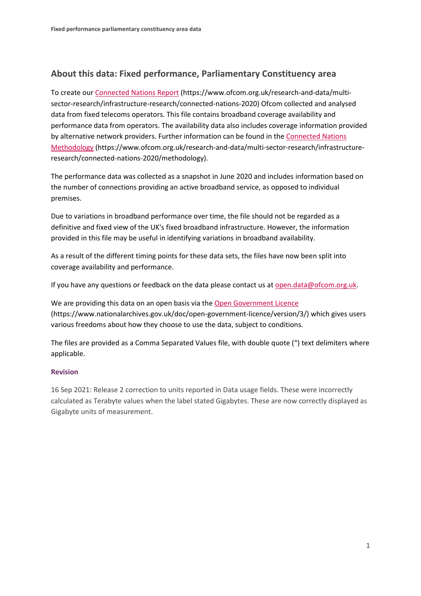## **About this data: Fixed performance, Parliamentary Constituency area**

To create ou[r Connected Nations Report](https://www.ofcom.org.uk/research-and-data/multi-sector-research/infrastructure-research/connected-nations-2020) (https://www.ofcom.org.uk/research-and-data/multisector-research/infrastructure-research/connected-nations-2020) Ofcom collected and analysed data from fixed telecoms operators. This file contains broadband coverage availability and performance data from operators. The availability data also includes coverage information provided by alternative network providers. Further information can be found in the [Connected Nations](https://www.ofcom.org.uk/research-and-data/multi-sector-research/infrastructure-research/connected-nations-2020/methodology)  [Methodology](https://www.ofcom.org.uk/research-and-data/multi-sector-research/infrastructure-research/connected-nations-2020/methodology) (https://www.ofcom.org.uk/research-and-data/multi-sector-research/infrastructureresearch/connected-nations-2020/methodology).

The performance data was collected as a snapshot in June 2020 and includes information based on the number of connections providing an active broadband service, as opposed to individual premises.

Due to variations in broadband performance over time, the file should not be regarded as a definitive and fixed view of the UK's fixed broadband infrastructure. However, the information provided in this file may be useful in identifying variations in broadband availability.

As a result of the different timing points for these data sets, the files have now been split into coverage availability and performance.

If you have any questions or feedback on the data please contact us at [open.data@ofcom.org.uk.](mailto:open.data@ofcom.org.uk)

We are providing this data on an open basis via the [Open Government Licence](https://www.nationalarchives.gov.uk/doc/open-government-licence/version/3/) (https://www.nationalarchives.gov.uk/doc/open-government-licence/version/3/) which gives users various freedoms about how they choose to use the data, subject to conditions.

The files are provided as a Comma Separated Values file, with double quote (") text delimiters where applicable.

## **Revision**

16 Sep 2021: Release 2 correction to units reported in Data usage fields. These were incorrectly calculated as Terabyte values when the label stated Gigabytes. These are now correctly displayed as Gigabyte units of measurement.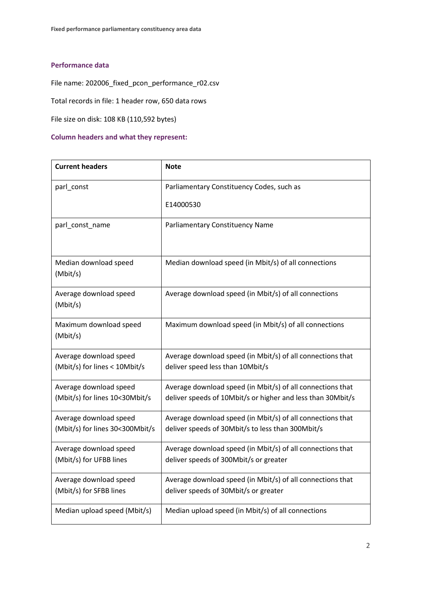## **Performance data**

File name: 202006\_fixed\_pcon\_performance\_r02.csv

Total records in file: 1 header row, 650 data rows

File size on disk: 108 KB (110,592 bytes)

## **Column headers and what they represent:**

| <b>Current headers</b>                                    | <b>Note</b>                                                                                                               |
|-----------------------------------------------------------|---------------------------------------------------------------------------------------------------------------------------|
| parl_const                                                | Parliamentary Constituency Codes, such as                                                                                 |
|                                                           | E14000530                                                                                                                 |
| parl_const_name                                           | Parliamentary Constituency Name                                                                                           |
| Median download speed<br>(Mbit/s)                         | Median download speed (in Mbit/s) of all connections                                                                      |
| Average download speed<br>(Mbit/s)                        | Average download speed (in Mbit/s) of all connections                                                                     |
| Maximum download speed<br>(Mbit/s)                        | Maximum download speed (in Mbit/s) of all connections                                                                     |
| Average download speed<br>(Mbit/s) for lines < 10Mbit/s   | Average download speed (in Mbit/s) of all connections that<br>deliver speed less than 10Mbit/s                            |
| Average download speed<br>(Mbit/s) for lines 10<30Mbit/s  | Average download speed (in Mbit/s) of all connections that<br>deliver speeds of 10Mbit/s or higher and less than 30Mbit/s |
| Average download speed<br>(Mbit/s) for lines 30<300Mbit/s | Average download speed (in Mbit/s) of all connections that<br>deliver speeds of 30Mbit/s to less than 300Mbit/s           |
| Average download speed<br>(Mbit/s) for UFBB lines         | Average download speed (in Mbit/s) of all connections that<br>deliver speeds of 300Mbit/s or greater                      |
| Average download speed<br>(Mbit/s) for SFBB lines         | Average download speed (in Mbit/s) of all connections that<br>deliver speeds of 30Mbit/s or greater                       |
| Median upload speed (Mbit/s)                              | Median upload speed (in Mbit/s) of all connections                                                                        |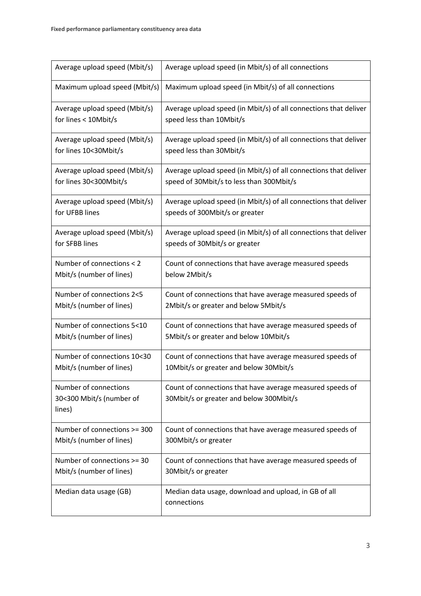| Average upload speed (Mbit/s)                               | Average upload speed (in Mbit/s) of all connections                                                  |
|-------------------------------------------------------------|------------------------------------------------------------------------------------------------------|
| Maximum upload speed (Mbit/s)                               | Maximum upload speed (in Mbit/s) of all connections                                                  |
| Average upload speed (Mbit/s)                               | Average upload speed (in Mbit/s) of all connections that deliver                                     |
| for lines < 10Mbit/s                                        | speed less than 10Mbit/s                                                                             |
| Average upload speed (Mbit/s)                               | Average upload speed (in Mbit/s) of all connections that deliver                                     |
| for lines 10<30Mbit/s                                       | speed less than 30Mbit/s                                                                             |
| Average upload speed (Mbit/s)                               | Average upload speed (in Mbit/s) of all connections that deliver                                     |
| for lines 30<300Mbit/s                                      | speed of 30Mbit/s to less than 300Mbit/s                                                             |
| Average upload speed (Mbit/s)                               | Average upload speed (in Mbit/s) of all connections that deliver                                     |
| for UFBB lines                                              | speeds of 300Mbit/s or greater                                                                       |
| Average upload speed (Mbit/s)                               | Average upload speed (in Mbit/s) of all connections that deliver                                     |
| for SFBB lines                                              | speeds of 30Mbit/s or greater                                                                        |
| Number of connections < 2                                   | Count of connections that have average measured speeds                                               |
| Mbit/s (number of lines)                                    | below 2Mbit/s                                                                                        |
| Number of connections 2<5                                   | Count of connections that have average measured speeds of                                            |
| Mbit/s (number of lines)                                    | 2Mbit/s or greater and below 5Mbit/s                                                                 |
| Number of connections 5<10                                  | Count of connections that have average measured speeds of                                            |
| Mbit/s (number of lines)                                    | 5Mbit/s or greater and below 10Mbit/s                                                                |
| Number of connections 10<30                                 | Count of connections that have average measured speeds of                                            |
| Mbit/s (number of lines)                                    | 10Mbit/s or greater and below 30Mbit/s                                                               |
| Number of connections<br>30<300 Mbit/s (number of<br>lines) | Count of connections that have average measured speeds of<br>30Mbit/s or greater and below 300Mbit/s |
| Number of connections >= 300                                | Count of connections that have average measured speeds of                                            |
| Mbit/s (number of lines)                                    | 300Mbit/s or greater                                                                                 |
| Number of connections >= 30                                 | Count of connections that have average measured speeds of                                            |
| Mbit/s (number of lines)                                    | 30Mbit/s or greater                                                                                  |
| Median data usage (GB)                                      | Median data usage, download and upload, in GB of all<br>connections                                  |